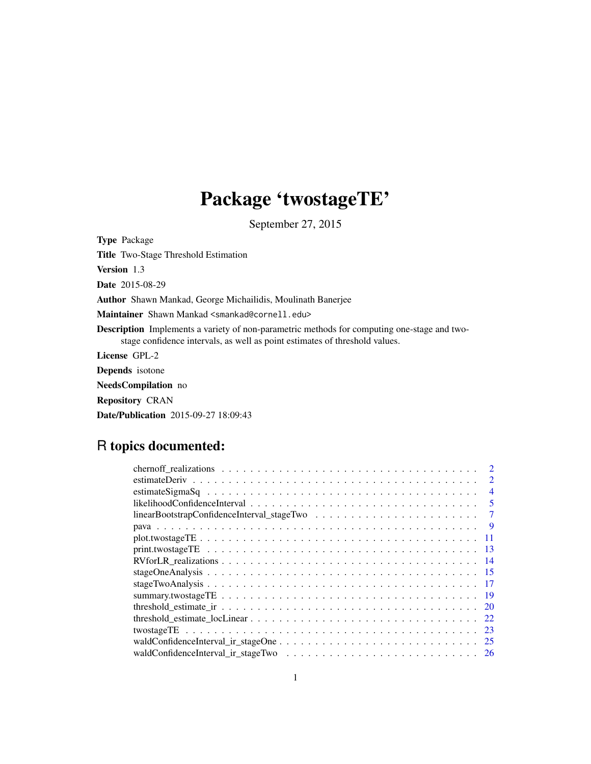## Package 'twostageTE'

September 27, 2015

Type Package Title Two-Stage Threshold Estimation Version 1.3 Date 2015-08-29 Author Shawn Mankad, George Michailidis, Moulinath Banerjee Maintainer Shawn Mankad <smankad@cornell.edu> Description Implements a variety of non-parametric methods for computing one-stage and twostage confidence intervals, as well as point estimates of threshold values. License GPL-2 Depends isotone NeedsCompilation no Repository CRAN

Date/Publication 2015-09-27 18:09:43

## R topics documented:

| $\overline{2}$                                                                                           |
|----------------------------------------------------------------------------------------------------------|
| $\overline{4}$                                                                                           |
| 5                                                                                                        |
| $linearBoostrapConfidence Interval\_stageTwo \dots \dots \dots \dots \dots \dots \dots \dots \dots$<br>7 |
| - 9                                                                                                      |
| -11                                                                                                      |
| -13                                                                                                      |
| -14                                                                                                      |
|                                                                                                          |
| - 17                                                                                                     |
|                                                                                                          |
|                                                                                                          |
|                                                                                                          |
| -23                                                                                                      |
|                                                                                                          |
|                                                                                                          |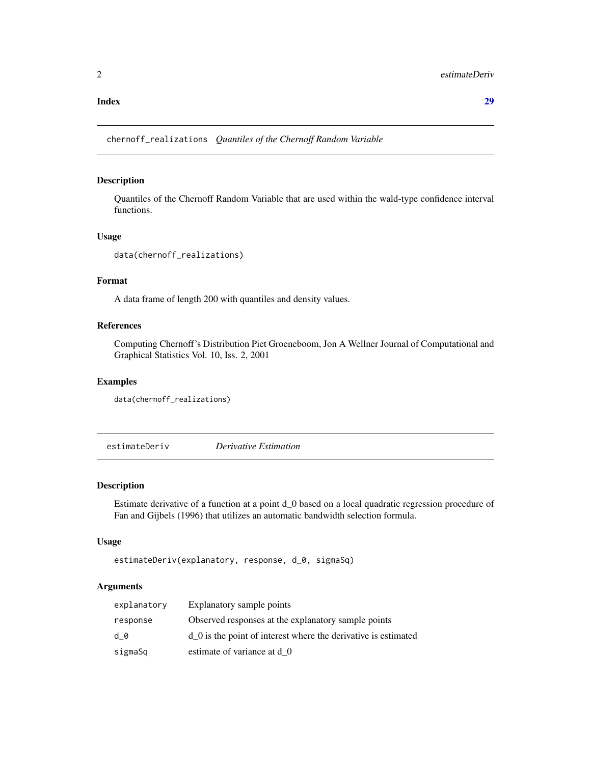#### <span id="page-1-0"></span>**Index** [29](#page-28-0)

chernoff\_realizations *Quantiles of the Chernoff Random Variable*

## Description

Quantiles of the Chernoff Random Variable that are used within the wald-type confidence interval functions.

#### Usage

```
data(chernoff_realizations)
```
## Format

A data frame of length 200 with quantiles and density values.

#### References

Computing Chernoff's Distribution Piet Groeneboom, Jon A Wellner Journal of Computational and Graphical Statistics Vol. 10, Iss. 2, 2001

## Examples

```
data(chernoff_realizations)
```
estimateDeriv *Derivative Estimation*

#### Description

Estimate derivative of a function at a point d\_0 based on a local quadratic regression procedure of Fan and Gijbels (1996) that utilizes an automatic bandwidth selection formula.

#### Usage

```
estimateDeriv(explanatory, response, d_0, sigmaSq)
```
## Arguments

| explanatory | Explanatory sample points                                            |
|-------------|----------------------------------------------------------------------|
| response    | Observed responses at the explanatory sample points                  |
| d 0         | $d\theta$ is the point of interest where the derivative is estimated |
| sigmaSq     | estimate of variance at d 0                                          |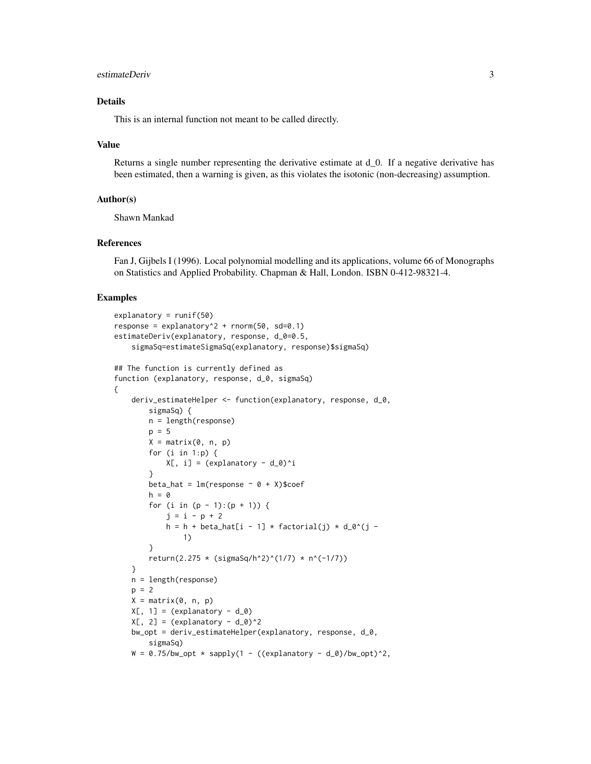#### estimateDeriv 3

#### Details

This is an internal function not meant to be called directly.

#### Value

Returns a single number representing the derivative estimate at d\_0. If a negative derivative has been estimated, then a warning is given, as this violates the isotonic (non-decreasing) assumption.

#### Author(s)

Shawn Mankad

#### References

Fan J, Gijbels I (1996). Local polynomial modelling and its applications, volume 66 of Monographs on Statistics and Applied Probability. Chapman & Hall, London. ISBN 0-412-98321-4.

```
explanatory = runif(50)response = explanatory^2 + rnorm(50, sd=0.1)
estimateDeriv(explanatory, response, d_0=0.5,
    sigmaSq=estimateSigmaSq(explanatory, response)$sigmaSq)
## The function is currently defined as
function (explanatory, response, d_0, sigmaSq)
{
    deriv_estimateHelper <- function(explanatory, response, d_0,
       sigmaSq) {
       n = length(response)
       p = 5X = matrix(0, n, p)for (i in 1:p) {
           X[, i] = (explanatory - d_0)^i}
       beta_hat = lm(response ~ 0 + X)$coef
       h = 0for (i in (p - 1):(p + 1)) {
           j = i - p + 2h = h + beta_hat[i - 1] * factorial(j) * d_0^(j -
               1)
       }
       return(2.275 * (sigmaSq/h^2)^(1/7) * n^(-1/7))
    }
   n = length(response)
   p = 2X = matrix(0, n, p)X[, 1] = (explanatory - d_0)X[, 2] = (explanatory - d_0)^2bw_opt = deriv_estimateHelper(explanatory, response, d_0,
       sigmaSq)
   W = 0.75/bw\_opt * supply(1 - ((explanatory - d_0)/bw\_opt)^2)
```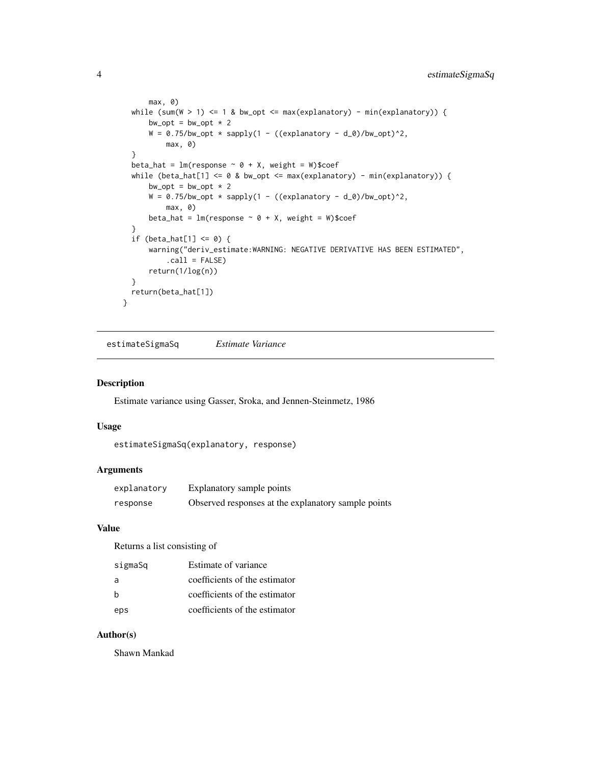```
max, 0)
 while (sum(W > 1) <= 1 & bw_opt <= max(explanatory) - min(explanatory)) {
     bw\_opt = bw\_opt * 2W = 0.75/bw\_opt * supply(1 - ((explanatory - d_0)/bw\_opt)^2)max, 0)
  }
 beta_hat = lm(response ~ 0 + X, weight = W)$coef
  while (beta_hat[1] <= 0 & bw_opt <= max(explanatory) - min(explanatory)) {
     bw\_opt = bw\_opt * 2W = 0.75/bw\_opt * supply(1 - ((explanatory - d_0)/bw\_opt)^2,max, 0)
     beta_hat = lm(response ~ 0 + X, weight = W)$coef
  }
  if (beta_hat[1] \leq 0) {
      warning("deriv_estimate:WARNING: NEGATIVE DERIVATIVE HAS BEEN ESTIMATED",
          .call = FALSE)
     return(1/log(n))
 }
 return(beta_hat[1])
}
```
estimateSigmaSq *Estimate Variance*

#### Description

Estimate variance using Gasser, Sroka, and Jennen-Steinmetz, 1986

#### Usage

```
estimateSigmaSq(explanatory, response)
```
#### Arguments

| explanatory | Explanatory sample points                           |
|-------------|-----------------------------------------------------|
| response    | Observed responses at the explanatory sample points |

## Value

Returns a list consisting of

| sigmaSq | Estimate of variance          |
|---------|-------------------------------|
| a       | coefficients of the estimator |
| b       | coefficients of the estimator |
| eps     | coefficients of the estimator |

#### Author(s)

Shawn Mankad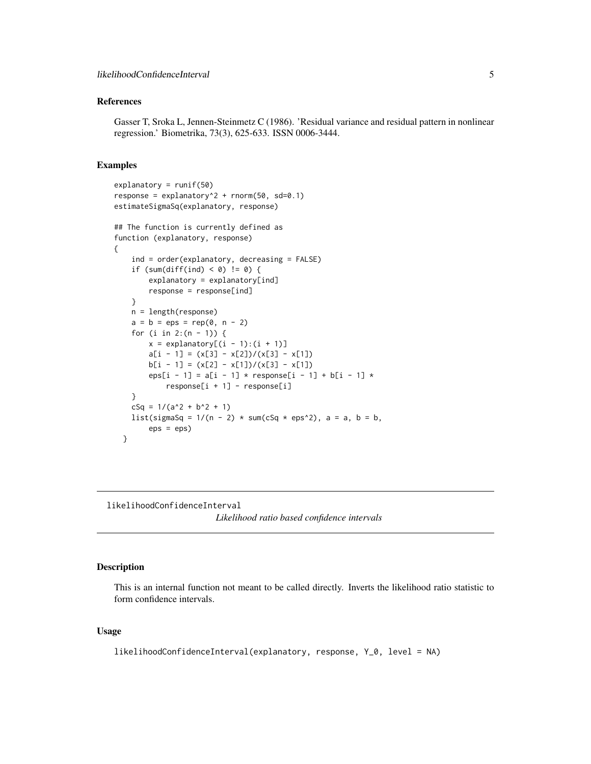## <span id="page-4-0"></span>References

Gasser T, Sroka L, Jennen-Steinmetz C (1986). 'Residual variance and residual pattern in nonlinear regression.' Biometrika, 73(3), 625-633. ISSN 0006-3444.

#### Examples

```
explanatory = runif(50)
response = explanatory2 + rnorm(50, sd=0.1)
estimateSigmaSq(explanatory, response)
## The function is currently defined as
function (explanatory, response)
{
    ind = order(explanatory, decreasing = FALSE)
    if (sum(diff(ind) < 0) != 0) {
       explanatory = explanatory[ind]
       response = response[ind]
    }
   n = length(response)
   a = b = eps = rep(0, n - 2)for (i in 2:(n - 1)) {
       x = \explanatory[(i - 1):(i + 1)]a[i - 1] = (x[3] - x[2])/(x[3] - x[1])b[i - 1] = (x[2] - x[1])/(x[3] - x[1])eps[i - 1] = a[i - 1] * response[i - 1] + b[i - 1] *response[i + 1] - response[i]
    }
   cSq = 1/(a^2 + b^2 + 1)list(sigmaSq = 1/(n - 2) * sum(cSq * eps^2), a = a, b = b,
       eps = eps)
 }
```
likelihoodConfidenceInterval

```
Likelihood ratio based confidence intervals
```
## Description

This is an internal function not meant to be called directly. Inverts the likelihood ratio statistic to form confidence intervals.

#### Usage

likelihoodConfidenceInterval(explanatory, response, Y\_0, level = NA)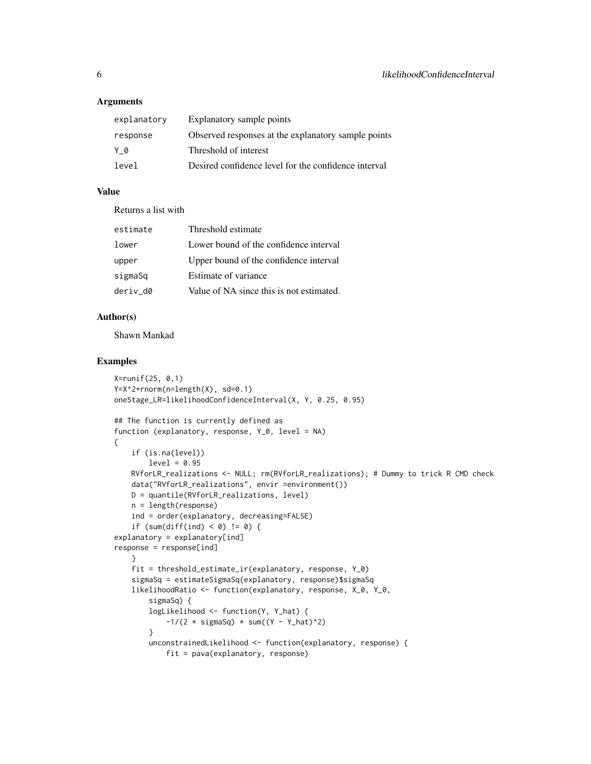#### **Arguments**

| explanatory | Explanatory sample points                            |
|-------------|------------------------------------------------------|
| response    | Observed responses at the explanatory sample points  |
| Y 0         | Threshold of interest                                |
| level       | Desired confidence level for the confidence interval |

## Value

Returns a list with

| estimate | Threshold estimate                       |
|----------|------------------------------------------|
| lower    | Lower bound of the confidence interval   |
| upper    | Upper bound of the confidence interval   |
| sigmaSq  | Estimate of variance                     |
| deriv d0 | Value of NA since this is not estimated. |

## Author(s)

Shawn Mankad

```
X=runif(25, 0,1)
Y=X^2+rnorm(n=length(X), sd=0.1)
oneStage_LR=likelihoodConfidenceInterval(X, Y, 0.25, 0.95)
## The function is currently defined as
function (explanatory, response, Y_0, level = NA)
{
    if (is.na(level))
        level = 0.95RVforLR_realizations <- NULL; rm(RVforLR_realizations); # Dummy to trick R CMD check
    data("RVforLR_realizations", envir =environment())
   D = quantile(RVforLR_realizations, level)
   n = length(response)
    ind = order(explanatory, decreasing=FALSE)
    if (sum(diff(ind) < 0) != 0) {
explanatory = explanatory[ind]
response = response[ind]
    }
    fit = threshold_estimate_ir(explanatory, response, Y_0)
    sigmaSq = estimateSigmaSq(explanatory, response)$sigmaSq
    likelihoodRatio <- function(explanatory, response, X_0, Y_0,
        sigmaSq) {
        logLikelihood <- function(Y, Y_hat) {
            -1/(2 * sigmaSq) * sum((Y - Y_hat)^2)}
        unconstrainedLikelihood <- function(explanatory, response) {
           fit = pava(explanatory, response)
```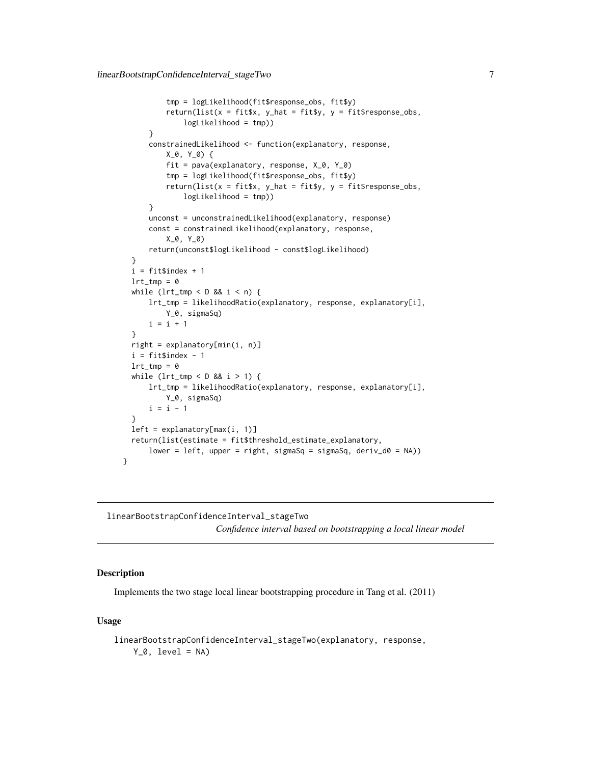```
tmp = logLikelihood(fit$response_obs, fit$y)
          return(list(x = \text{fit}$x, y_\text{hat} = \text{fit}$y, y = \text{fit}$response_obs,
              logLikelihood = tmp))
      }
      constrainedLikelihood <- function(explanatory, response,
          X_0, Y_0) {
          fit = pava(explanatory, response, X_0, Y_0)
          tmp = logLikelihood(fit$response_obs, fit$y)
          return(list(x = fit$x, y_hat = fit$y, y = fit$response_obs,
              logLikelihood = tmp))
      }
      unconst = unconstrainedLikelihood(explanatory, response)
      const = constrainedLikelihood(explanatory, response,
          X_0, Y_0)
      return(unconst$logLikelihood - const$logLikelihood)
  }
  i = fitsindex + 1lrt\_tmp = 0while (lrt_time < D &amp; 8 &amp; i < n) {
      lrt_tmp = likelihoodRatio(explanatory, response, explanatory[i],
          Y_0, sigmaSq)
      i = i + 1}
  right = explanatory[min(i, n)]
  i = fitsindex - 1lrt\_tmp = 0while (lrt_time < D &amp; 8 &amp; i > 1) {
      lrt_tmp = likelihoodRatio(explanatory, response, explanatory[i],
          Y_0, sigmaSq)
      i = i - 1}
  left = explanatory[max(i, 1)]
  return(list(estimate = fit$threshold_estimate_explanatory,
      lower = left, upper = right, sigmaSq = sigmaSq, deriv_d0 = NA))
}
```
linearBootstrapConfidenceInterval\_stageTwo *Confidence interval based on bootstrapping a local linear model*

## Description

Implements the two stage local linear bootstrapping procedure in Tang et al. (2011)

#### Usage

```
linearBootstrapConfidenceInterval_stageTwo(explanatory, response,
   Y_0, level = NA)
```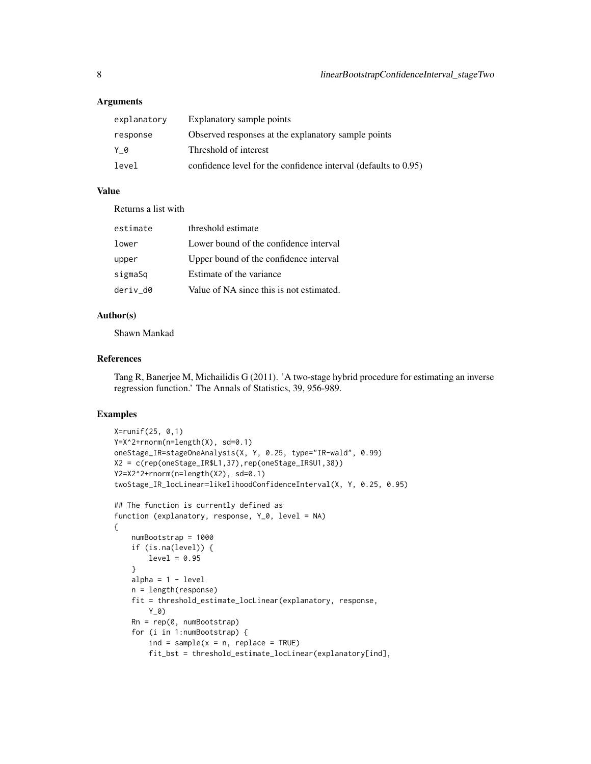#### **Arguments**

| explanatory | Explanatory sample points                                       |
|-------------|-----------------------------------------------------------------|
| response    | Observed responses at the explanatory sample points             |
| Y 0         | Threshold of interest                                           |
| level       | confidence level for the confidence interval (defaults to 0.95) |

## Value

Returns a list with

| estimate | threshold estimate                       |
|----------|------------------------------------------|
| lower    | Lower bound of the confidence interval   |
| upper    | Upper bound of the confidence interval   |
| sigmaSq  | Estimate of the variance                 |
| deriv d0 | Value of NA since this is not estimated. |

#### Author(s)

Shawn Mankad

#### References

Tang R, Banerjee M, Michailidis G (2011). 'A two-stage hybrid procedure for estimating an inverse regression function.' The Annals of Statistics, 39, 956-989.

```
X=runif(25, 0,1)
Y=X^2+rnorm(n=length(X), sd=0.1)
oneStage_IR=stageOneAnalysis(X, Y, 0.25, type="IR-wald", 0.99)
X2 = c(rep(oneStage_IR$L1,37),rep(oneStage_IR$U1,38))
Y2=X2^2+rnorm(n=length(X2), sd=0.1)
twoStage_IR_locLinear=likelihoodConfidenceInterval(X, Y, 0.25, 0.95)
## The function is currently defined as
function (explanatory, response, Y_0, level = NA)
{
    numBootstrap = 1000
    if (is.na(level)) {
       level = 0.95}
   alpha = 1 - leveln = length(response)
    fit = threshold_estimate_locLinear(explanatory, response,
       Y_0Rn = rep(0, numBootstrap)
    for (i in 1:numBootstrap) {
       ind = sample(x = n, replace = TRUE)fit_bst = threshold_estimate_locLinear(explanatory[ind],
```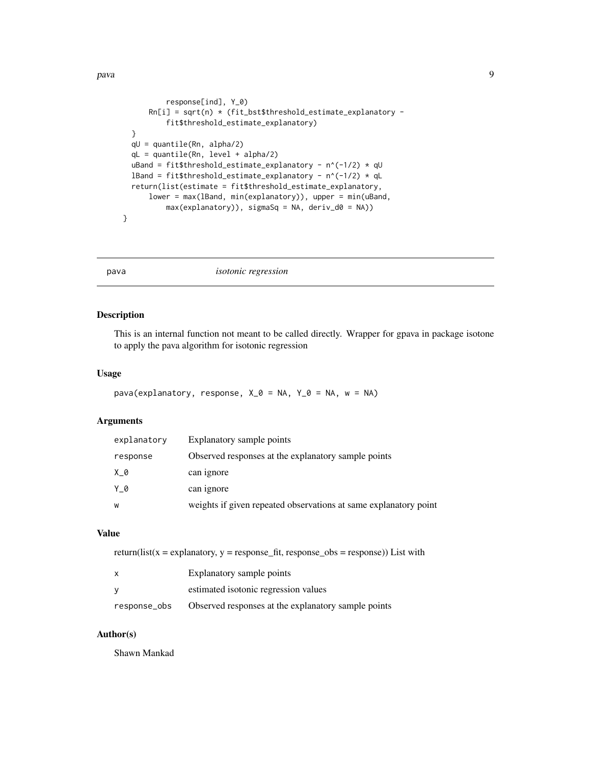```
response[ind], Y_0)
      Rn[i] = sqrt(n) * (fit_bst$threshold_estimates_explanatory -fit$threshold_estimate_explanatory)
  }
  qU = quantile(Rn, alpha/2)
  qL = quantile(Rn, level + alpha/2)
 uBand = fit$threshold_estimate_explanatory - n^(-1/2) * qU
 lBand = fit$threshold_estimate_explanatory - n^(-1/2) * qL
  return(list(estimate = fit$threshold_estimate_explanatory,
      lower = max(lBand, min(explanatory)), upper = min(uBand,
          max(explanatory)), sigmaSq = NA, deriv_d0 = NA))
}
```
pava *isotonic regression*

#### Description

This is an internal function not meant to be called directly. Wrapper for gpava in package isotone to apply the pava algorithm for isotonic regression

#### Usage

```
pava(explanatory, response, X_0 = NA, Y_0 = NA, w = NA)
```
#### Arguments

| explanatory | Explanatory sample points                                        |
|-------------|------------------------------------------------------------------|
| response    | Observed responses at the explanatory sample points              |
| $X_0$       | can ignore                                                       |
| Y 0         | can ignore                                                       |
| W           | weights if given repeated observations at same explanatory point |

## Value

return(list(x = explanatory, y = response\_fit, response\_obs = response)) List with

| X            | Explanatory sample points                           |  |
|--------------|-----------------------------------------------------|--|
| v            | estimated isotonic regression values                |  |
| response_obs | Observed responses at the explanatory sample points |  |

## Author(s)

Shawn Mankad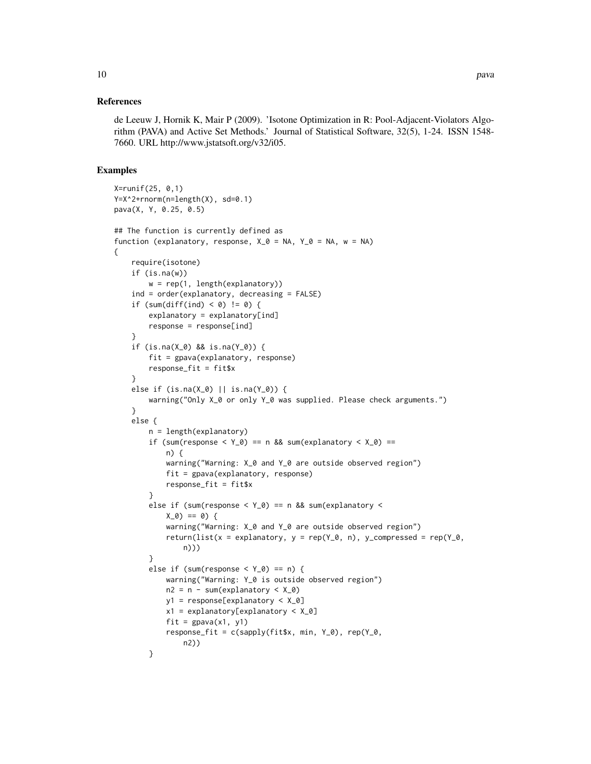#### References

de Leeuw J, Hornik K, Mair P (2009). 'Isotone Optimization in R: Pool-Adjacent-Violators Algorithm (PAVA) and Active Set Methods.' Journal of Statistical Software, 32(5), 1-24. ISSN 1548- 7660. URL http://www.jstatsoft.org/v32/i05.

#### Examples

{

```
X=runif(25, 0,1)
Y=X^2+rnorm(n=length(X), sd=0.1)
pava(X, Y, 0.25, 0.5)
## The function is currently defined as
function (explanatory, response, X_0 = NA, Y_0 = NA, w = NA)
    require(isotone)
   if (is.na(w))
       w = rep(1, length(explanatory))
   ind = order(explanatory, decreasing = FALSE)
    if (sum(diff(ind) < 0) != 0) {
       explanatory = explanatory[ind]
       response = response[ind]
    }
    if (is.na(X_0) && is.na(Y_0)) {
       fit = gpava(explanatory, response)
       response_fit = fit$x
    }
    else if (is.na(X_0) || is.na(Y_0)) {
       warning("Only X_0 or only Y_0 was supplied. Please check arguments.")
    }
   else {
       n = length(explanatory)
       if (sum(response < Y_0) == n && sum(explanatory < X_0) ==
            n) {
            warning("Warning: X_0 and Y_0 are outside observed region")
            fit = gpava(explanatory, response)
            response_fit = fit$x
       }
       else if (sum(response < Y_0) == n && sum(explanatory <
           X_0 == 0) {
            warning("Warning: X_0 and Y_0 are outside observed region")
            return(list(x = explanatory, y = rep(Y_0, n), y_compressed = rep(Y_0,
                n)))
       }
       else if (sum(response < Y_0) == n) {
            warning("Warning: Y_0 is outside observed region")
            n2 = n - sum(explanatory < X_0)y1 = response[explanatory < X_0]
            x1 = explanatory[explanatory < X_0]
            fit = gpava(x1, y1)response_fit = c(sapply(fitsx, min, Y_0), rep(Y_0,n2))
       }
```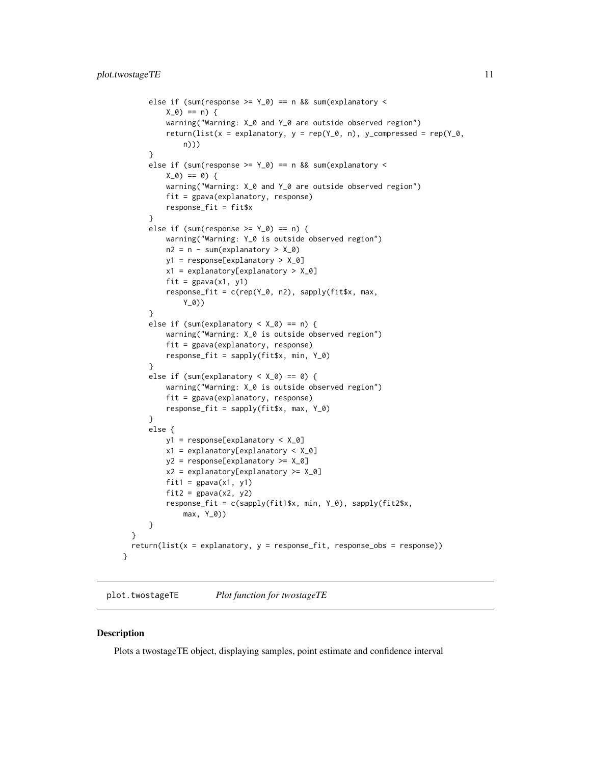```
else if (sum(response >= Y_0) == n && sum(explanatory <
        X_0) == n) {
        warning("Warning: X_0 and Y_0 are outside observed region")
        return(list(x = explanatory, y = rep(Y_0, n), y_compressed = rep(Y_0,
            n)))
    }
    else if (sum(response >= Y_0) == n && sum(explanatory <
        X_0 == 0) {
        warning("Warning: X_0 and Y_0 are outside observed region")
        fit = gpava(explanatory, response)
        response_fit = fit$x
    }
    else if (sum(response >= Y_0) == n) {
        warning("Warning: Y_0 is outside observed region")
        n2 = n - sum(explanatory > X_0)y1 = response[explanatory > X_0]
        x1 = explanatory[explanatory > X_0]
        fit = gpava(x1, y1)response_fit = c(rep(Y_0, n2), sapply(fit$x, max,
            Y_0))
    }
    else if (sum(explanatory < X_0) == n) {
        warning("Warning: X_0 is outside observed region")
        fit = gpava(explanatory, response)
        response_fit = sapply(fit$x, min, Y_0)
    }
    else if (sum(explanatory < X_0) == 0) {
        warning("Warning: X_0 is outside observed region")
        fit = gpava(explanatory, response)
        response_fit = sapply(fit$x, max, Y_0)
    }
    else {
        y1 = response[explanatory < X_0]
        x1 = explanatory[explanatory < X_0]
        y2 = response[explanatory >= X_0]
        x2 = explanatory[explanatory >= X_0]
        fit1 = \text{g}pava(x1, y1)
        fit2 = gpava(x2, y2)response_fit = c(sapply(fit1$x, min, Y_0), sapply(fit2$x,
            max, Y_0))
    }
}
return(list(x = explanatory, y = response_fit, response_obs = response))
```
plot.twostageTE *Plot function for twostageTE*

#### Description

}

Plots a twostageTE object, displaying samples, point estimate and confidence interval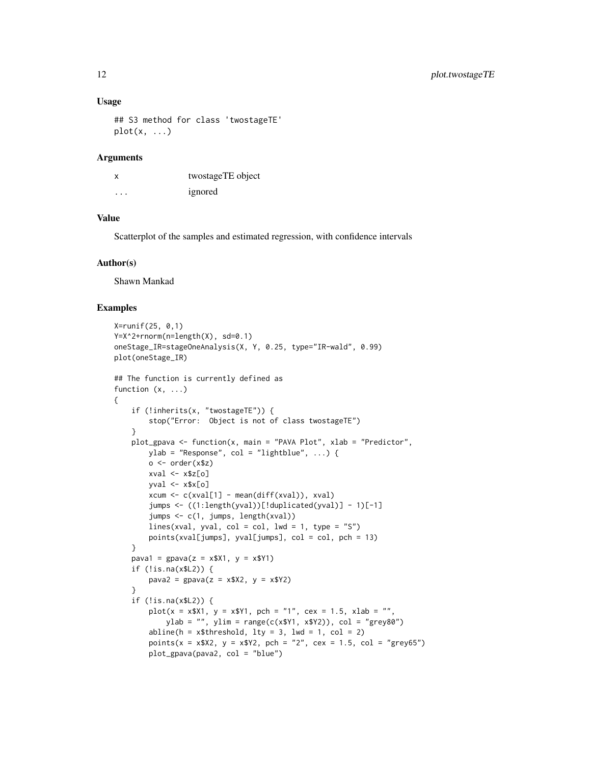#### Usage

```
## S3 method for class 'twostageTE'
plot(x, \ldots)
```
#### **Arguments**

| X       | twostageTE object |
|---------|-------------------|
| $\cdot$ | ignored           |

#### Value

Scatterplot of the samples and estimated regression, with confidence intervals

#### Author(s)

Shawn Mankad

#### Examples

{

```
X=runif(25, 0,1)
Y=X^2+rnorm(n=length(X), sd=0.1)
oneStage_IR=stageOneAnalysis(X, Y, 0.25, type="IR-wald", 0.99)
plot(oneStage_IR)
## The function is currently defined as
function (x, ...)
    if (!inherits(x, "twostageTE")) {
        stop("Error: Object is not of class twostageTE")
    }
    plot_gpava <- function(x, main = "PAVA Plot", xlab = "Predictor",
        ylab = "Response", col = "lightblue", ...) {
        o \leftarrow order(x$z)xval \leftarrow x$z[o]yval \leftarrow x$x[o]
        xcum <- c(xval[1] - mean(diff(xval)), xval)
        jumps <- ((1:length(yval))[!duplicated(yval)] - 1)[-1]
        jumps <- c(1, jumps, length(xval))
        lines(xval, yval, col = col, lwd = 1, type = "S")
        points(xval[jumps], yval[jumps], col = col, pch = 13)
    }
    pava1 = gpava(z = x $X1, y = x $Y1)if (!is.na(x$L2)) {
        pava2 = gpava(z = x $X2, y = x $Y2)}
    if (!is.na(x$L2)) {
        plot(x = x$X1, y = x$Y1, pch = "1", cex = 1.5, xlab = "",ylab = "", ylim = range(c(x$Y1, x$Y2)), col = "grey80")
        abline(h = x$threshold, 1ty = 3, 1wd = 1, col = 2)points(x = x $X2, y = x $Y2, pch = "2", cex = 1.5, col = "grey65")plot_gpava(pava2, col = "blue")
```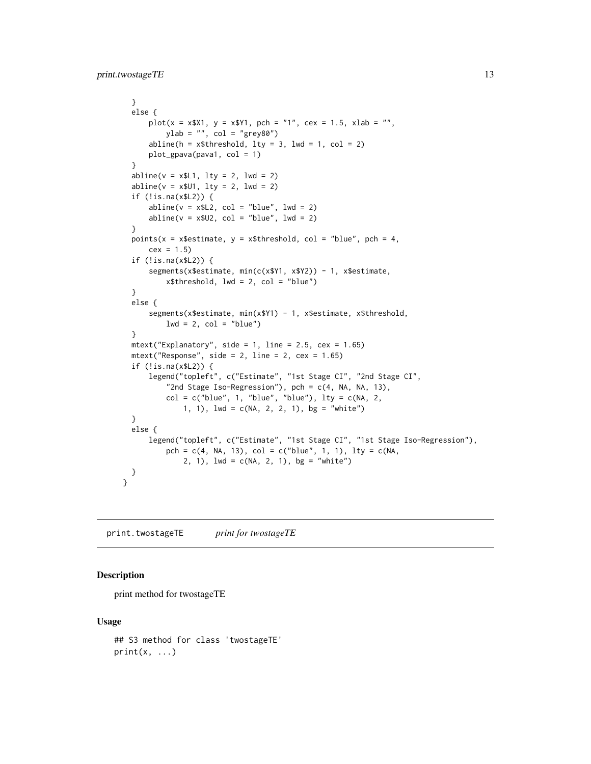```
}
  else {
      plot(x = x$X1, y = x$Y1, pch = "1", cex = 1.5, xlab = "",ylab = "", col = "grey80")abline(h = x$threshold, lty = 3, lwd = 1, col = 2)
      plot_gpava(pava1, col = 1)
  }
  abline(v = x$L1, lty = 2, lwd = 2)
  abline(v = x$01, lty = 2, lwd = 2)
  if (!is.na(x$L2)) {
      abline(v = x$L2, col = "blue", lwd = 2)abline(v = x$U2, col = "blue", lwd = 2)}
  points(x = x$estimate, y = x$threshold, col = "blue", pch = 4,
     cex = 1.5if (!is.na(x$L2)) {
      segments(x$estimate, min(c(x$Y1, x$Y2)) - 1, x$estimate,
          x$threshold, lwd = 2, col = "blue")
  }
  else {
      segments(x$estimate, min(x$Y1) - 1, x$estimate, x$threshold,
          lwd = 2, col = "blue")}
  mtext('Explanatory", side = 1, line = 2.5, cex = 1.65)mtext{text("Response", side = 2, line = 2, cex = 1.65)}if (!is.na(x$L2)) {
      legend("topleft", c("Estimate", "1st Stage CI", "2nd Stage CI",
          "2nd Stage Iso-Regression"), pch = c(4, NA, NA, 13),
          col = c("blue", 1, "blue", "blue"), lty = c(NA, 2,1, 1), lwd = c(NA, 2, 2, 1), bg = "white")
  }
  else {
      legend("topleft", c("Estimate", "1st Stage CI", "1st Stage Iso-Regression"),
          pch = c(4, NA, 13), col = c("blue", 1, 1), lty = c(NA,2, 1), lwd = c(NA, 2, 1), bg = "white")
 }
}
```
print.twostageTE *print for twostageTE*

#### Description

print method for twostageTE

#### Usage

```
## S3 method for class 'twostageTE'
print(x, \ldots)
```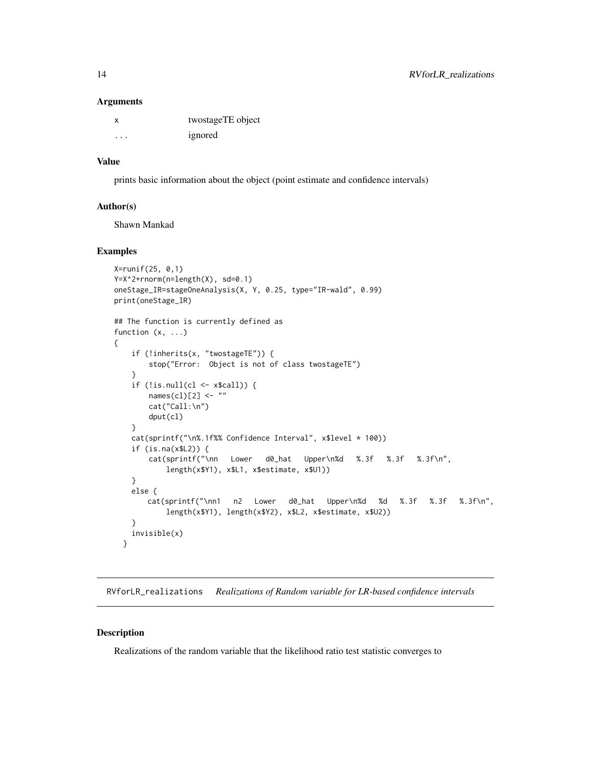#### **Arguments**

|   | twostageTE object |
|---|-------------------|
| . | ignored           |

#### Value

prints basic information about the object (point estimate and confidence intervals)

#### Author(s)

Shawn Mankad

## Examples

```
X=runif(25, 0,1)
Y=X^2+rnorm(n=length(X), sd=0.1)
oneStage_IR=stageOneAnalysis(X, Y, 0.25, type="IR-wald", 0.99)
print(oneStage_IR)
## The function is currently defined as
function (x, \ldots){
    if (!inherits(x, "twostageTE")) {
       stop("Error: Object is not of class twostageTE")
    }
    if (!is.null(cl \leq x$call)) {
       names(cl)[2] <- ""
       cat("Call:\n")
       dput(cl)
    }
   cat(sprintf("\n%.1f%% Confidence Interval", x$level * 100))
   if (is.na(x$L2)) {
       cat(sprintf("\nn Lower d0_hat Upper\n%d %.3f %.3f %.3f\n",
           length(x$Y1), x$L1, x$estimate, x$U1))
    }
   else {
       cat(sprintf("\nn1 n2 Lower d0_hat Upper\n%d %d %.3f %.3f %.3f\n",
           length(x$Y1), length(x$Y2), x$L2, x$estimate, x$U2))
    }
    invisible(x)
 }
```
RVforLR\_realizations *Realizations of Random variable for LR-based confidence intervals*

#### Description

Realizations of the random variable that the likelihood ratio test statistic converges to

<span id="page-13-0"></span>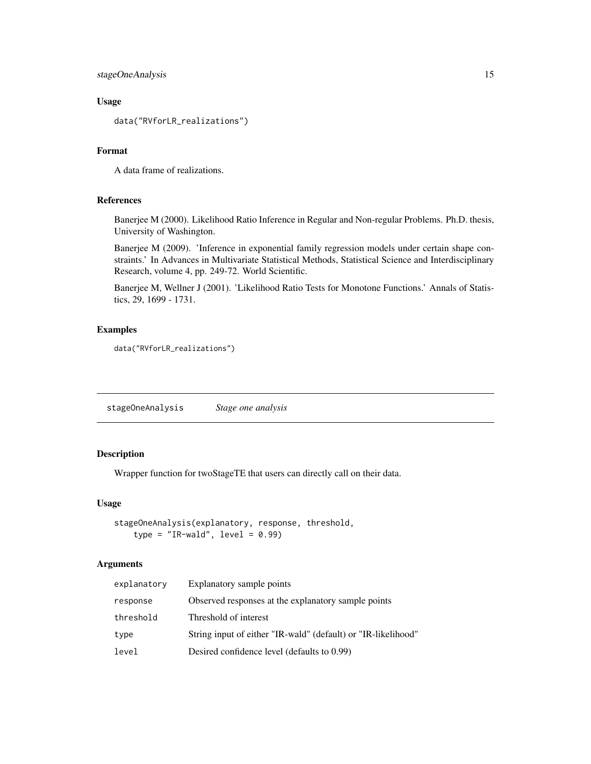<span id="page-14-0"></span>stageOneAnalysis 15

## Usage

data("RVforLR\_realizations")

## Format

A data frame of realizations.

## References

Banerjee M (2000). Likelihood Ratio Inference in Regular and Non-regular Problems. Ph.D. thesis, University of Washington.

Banerjee M (2009). 'Inference in exponential family regression models under certain shape constraints.' In Advances in Multivariate Statistical Methods, Statistical Science and Interdisciplinary Research, volume 4, pp. 249-72. World Scientific.

Banerjee M, Wellner J (2001). 'Likelihood Ratio Tests for Monotone Functions.' Annals of Statistics, 29, 1699 - 1731.

## Examples

data("RVforLR\_realizations")

stageOneAnalysis *Stage one analysis*

## Description

Wrapper function for twoStageTE that users can directly call on their data.

#### Usage

```
stageOneAnalysis(explanatory, response, threshold,
   type = "IR-wald", level = 0.99)
```
#### Arguments

| explanatory | Explanatory sample points                                     |
|-------------|---------------------------------------------------------------|
| response    | Observed responses at the explanatory sample points           |
| threshold   | Threshold of interest                                         |
| type        | String input of either "IR-wald" (default) or "IR-likelihood" |
| level       | Desired confidence level (defaults to 0.99)                   |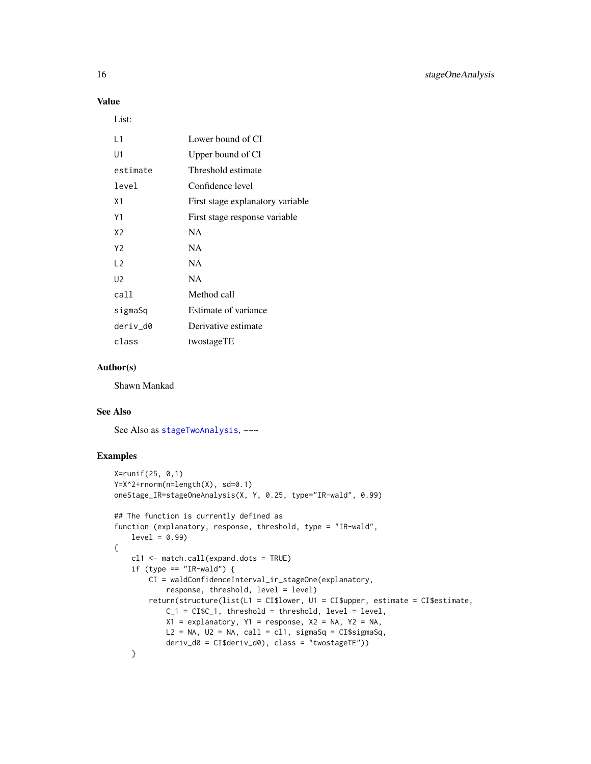## Value

List:

| l 1            | Lower bound of CI                |
|----------------|----------------------------------|
| U1             | Upper bound of CI                |
| estimate       | Threshold estimate               |
| level          | Confidence level                 |
| X1             | First stage explanatory variable |
| Υ1             | First stage response variable    |
| X2             | <b>NA</b>                        |
| Y <sub>2</sub> | <b>NA</b>                        |
| $\sqrt{2}$     | <b>NA</b>                        |
| U <sub>2</sub> | <b>NA</b>                        |
| call           | Method call                      |
| sigmaSq        | Estimate of variance             |
| deriv d0       | Derivative estimate              |
| class          | twostageTE                       |

## Author(s)

Shawn Mankad

#### See Also

See Also as [stageTwoAnalysis](#page-16-1), ~~~

```
X=runif(25, 0,1)
Y=X^2+rnorm(n=length(X), sd=0.1)
oneStage_IR=stageOneAnalysis(X, Y, 0.25, type="IR-wald", 0.99)
## The function is currently defined as
function (explanatory, response, threshold, type = "IR-wald",
    level = 0.99{
   cl1 <- match.call(expand.dots = TRUE)
    if (type == "IR-wald") {
       CI = waldConfidenceInterval_ir_stageOne(explanatory,
            response, threshold, level = level)
        return(structure(list(L1 = CI$lower, U1 = CI$upper, estimate = CI$estimate,
            C_1 = C_1 \cC_1, threshold = threshold, level = level,
            X1 = explanatory, Y1 = response, X2 = NA, Y2 = NA,
            L2 = NA, U2 = NA, call = c11, sigmaSq = CI$sigmaSq,
            deriv_d0 = CI$deriv_d0), class = "twostageTE"))
    }
```
<span id="page-15-0"></span>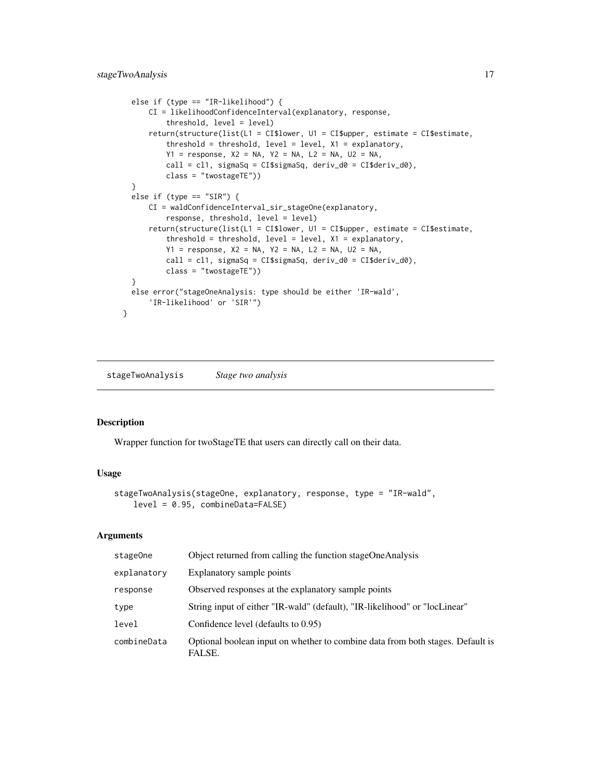```
else if (type == "IR-likelihood") {
      CI = likelihoodConfidenceInterval(explanatory, response,
          threshold, level = level)
      return(structure(list(L1 = CI$lower, U1 = CI$upper, estimate = CI$estimate,
          threshold = threshold, level = level, X1 = explanatory,
          Y1 = response, X2 = NA, Y2 = NA, L2 = NA, U2 = NA,
          call = cl1, sigmaSq = CI$sigmaSq, deriv_d0 = CI$deriv_d0),
          class = "twostageTE"))
  }
  else if (type == "SIR") {
     CI = waldConfidenceInterval_sir_stageOne(explanatory,
          response, threshold, level = level)
      return(structure(list(L1 = CI$lower, U1 = CI$upper, estimate = CI$estimate,
          threshold = threshold, level = level, X1 = explanatory,
          Y1 = response, X2 = NA, Y2 = NA, L2 = NA, U2 = NA,call = cl1, sigmaSq = CI$sigmaSq, deriv_d0 = CI$deriv_d0),
          class = "twostageTE"))
  }
  else error("stageOneAnalysis: type should be either 'IR-wald',
      'IR-likelihood' or 'SIR'")
}
```
<span id="page-16-1"></span>stageTwoAnalysis *Stage two analysis*

#### Description

Wrapper function for twoStageTE that users can directly call on their data.

#### Usage

```
stageTwoAnalysis(stageOne, explanatory, response, type = "IR-wald",
   level = 0.95, combineData=FALSE)
```
## Arguments

| stageOne    | Object returned from calling the function stageOneAnalysis                               |
|-------------|------------------------------------------------------------------------------------------|
| explanatory | Explanatory sample points                                                                |
| response    | Observed responses at the explanatory sample points                                      |
| type        | String input of either "IR-wald" (default), "IR-likelihood" or "locLinear"               |
| level       | Confidence level (defaults to 0.95)                                                      |
| combineData | Optional boolean input on whether to combine data from both stages. Default is<br>FALSE. |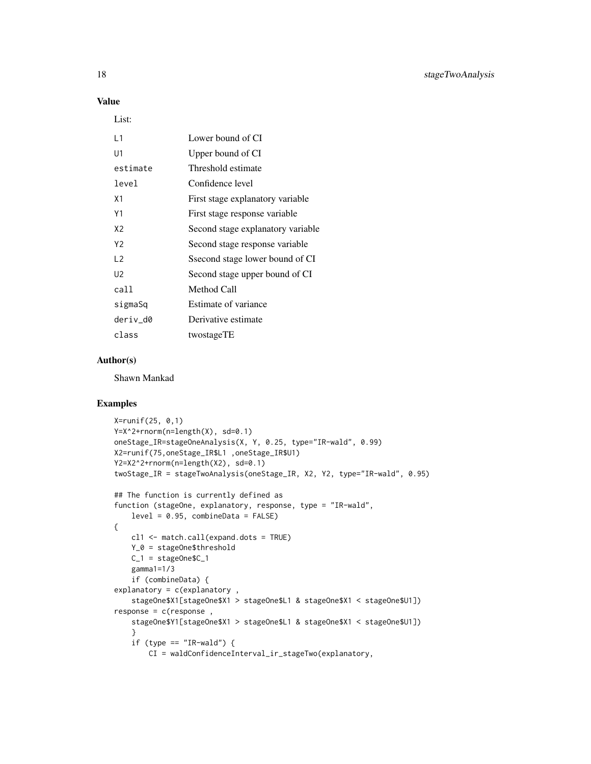#### Value

List:

| Lower bound of CI                 |
|-----------------------------------|
| Upper bound of CI                 |
| Threshold estimate                |
| Confidence level                  |
| First stage explanatory variable  |
| First stage response variable     |
| Second stage explanatory variable |
| Second stage response variable    |
| Ssecond stage lower bound of CI   |
| Second stage upper bound of CI    |
| Method Call                       |
| Estimate of variance              |
| Derivative estimate               |
| twostageTE                        |
|                                   |

## Author(s)

Shawn Mankad

```
X=runif(25, 0,1)
Y=X^2+rnorm(n=length(X), sd=0.1)
oneStage_IR=stageOneAnalysis(X, Y, 0.25, type="IR-wald", 0.99)
X2=runif(75,oneStage_IR$L1 ,oneStage_IR$U1)
Y2=X2^2+rnorm(n=length(X2), sd=0.1)
twoStage_IR = stageTwoAnalysis(oneStage_IR, X2, Y2, type="IR-wald", 0.95)
## The function is currently defined as
function (stageOne, explanatory, response, type = "IR-wald",
   level = 0.95, combineData = FALSE)
{
   cl1 <- match.call(expand.dots = TRUE)
   Y_0 = stageOne$threshold
   C_1 = stageOne$C_1gamma1=1/3
   if (combineData) {
explanatory = c(explanatory ,
    stageOne$X1[stageOne$X1 > stageOne$L1 & stageOne$X1 < stageOne$U1])
response = c(response ,
   stageOne$Y1[stageOne$X1 > stageOne$L1 & stageOne$X1 < stageOne$U1])
    }
    if (type == "IR-wald") {
       CI = waldConfidenceInterval_ir_stageTwo(explanatory,
```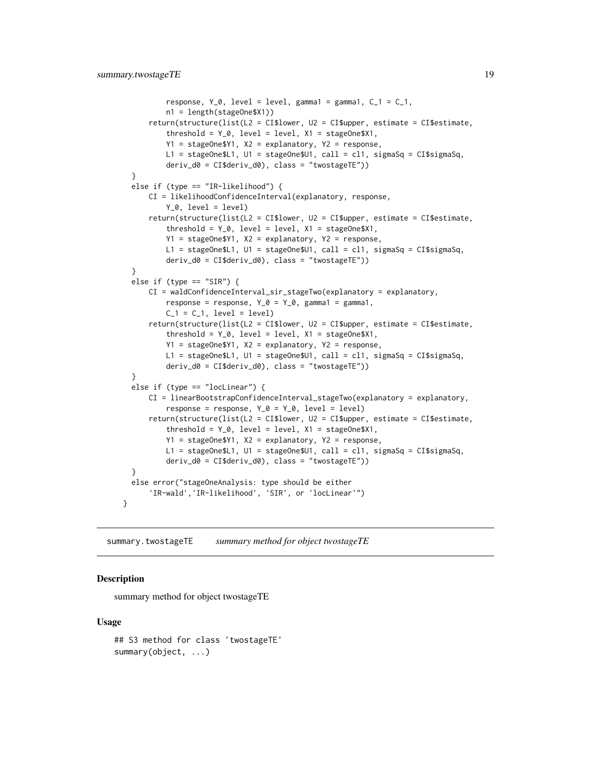```
response, Y_0, level = level, gamma1 = gamma1, C_1 = C_1,
          n1 = length(stageOne$X1))
      return(structure(list(L2 = CI$lower, U2 = CI$upper, estimate = CI$estimate,
          threshold = Y_0, level = level, X1 = \text{stageOne$X1},
          Y1 = stageOne$Y1, X2 = explanatory, Y2 = response,
          L1 = stageOne$L1, U1 = stageOne$U1, call = cl1, sigmaSq = CI$sigmaSq,
          deriv_d0 = CI$deriv_d0), class = "twostageTE"))
  }
  else if (type == "IR-likelihood") {
      CI = likelihoodConfidenceInterval(explanatory, response,
          Y_0, level = level)
      return(structure(list(L2 = CI$lower, U2 = CI$upper, estimate = CI$estimate,
          threshold = Y_0, level = level, X1 = stageOne$X1,
          Y1 = stageOne$Y1, X2 = explanatory, Y2 = response,
          L1 = stageOne$L1, U1 = stageOne$U1, call = cl1, sigmaSq = CI$sigmaSq,
          deriv_d0 = CI$deriv_d0), class = "twostageTE"))
  }
  else if (type == "SIR") {
     CI = waldConfidenceInterval_sir_stageTwo(explanatory = explanatory,
          response = response, Y_0 = Y_0, gamma1 = gamma1,
          C_1 = C_1, level = level)
      return(structure(list(L2 = CI$lower, U2 = CI$upper, estimate = CI$estimate,
          threshold = Y_0, level = level, X1 = stageOne$X1,
          Y1 = stageOne$Y1, X2 = explanatory, Y2 = response,
          L1 = stageOne$L1, U1 = stageOne$U1, call = cl1, sigmaSq = CI$sigmaSq,
          deriv_d0 = CI$deriv_d0), class = "twostageTE"))
  }
  else if (type == "locLinear") {
      CI = linearBootstrapConfidenceInterval_stageTwo(explanatory = explanatory,
          response = response, Y_0 = Y_0, level = level)
      return(structure(list(L2 = CI$lower, U2 = CI$upper, estimate = CI$estimate,
          threshold = Y_0, level = level, X1 = stageOne$X1,
          Y1 = stageOne$Y1, X2 = explanatory, Y2 = response,
          L1 = stageOne$L1, U1 = stageOne$U1, call = cl1, sigmaSq = CI$sigmaSq,
          deriv_d0 = CI$deriv_d0), class = "twostageTE"))
  }
  else error("stageOneAnalysis: type should be either
      'IR-wald','IR-likelihood', 'SIR', or 'locLinear'")
}
```
summary.twostageTE *summary method for object twostageTE*

#### **Description**

summary method for object twostageTE

#### Usage

```
## S3 method for class 'twostageTE'
summary(object, ...)
```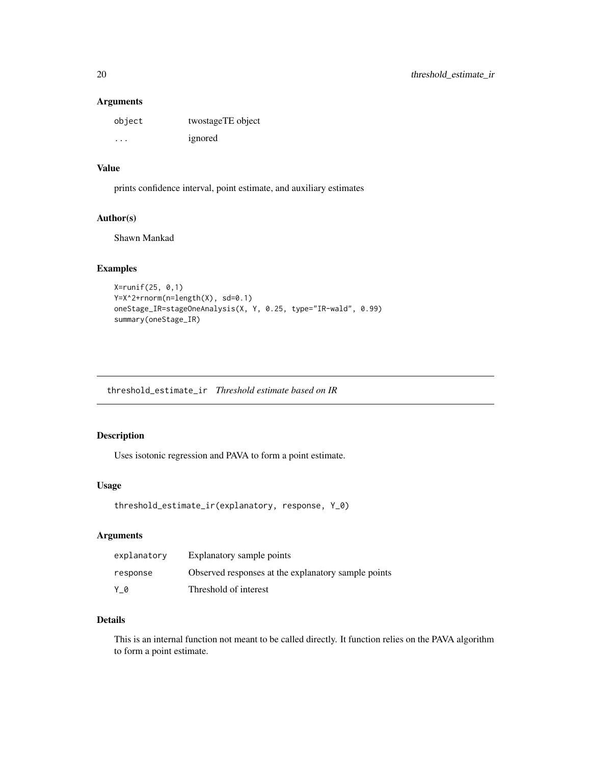## <span id="page-19-0"></span>Arguments

| object  | twostageTE object |
|---------|-------------------|
| $\cdot$ | ignored           |

#### Value

prints confidence interval, point estimate, and auxiliary estimates

## Author(s)

Shawn Mankad

## Examples

```
X=runif(25, 0,1)
Y=X^2+rnorm(n=length(X), sd=0.1)
oneStage_IR=stageOneAnalysis(X, Y, 0.25, type="IR-wald", 0.99)
summary(oneStage_IR)
```
threshold\_estimate\_ir *Threshold estimate based on IR*

## Description

Uses isotonic regression and PAVA to form a point estimate.

#### Usage

```
threshold_estimate_ir(explanatory, response, Y_0)
```
## Arguments

| explanatory | Explanatory sample points                           |
|-------------|-----------------------------------------------------|
| response    | Observed responses at the explanatory sample points |
| Y 0         | Threshold of interest                               |

## Details

This is an internal function not meant to be called directly. It function relies on the PAVA algorithm to form a point estimate.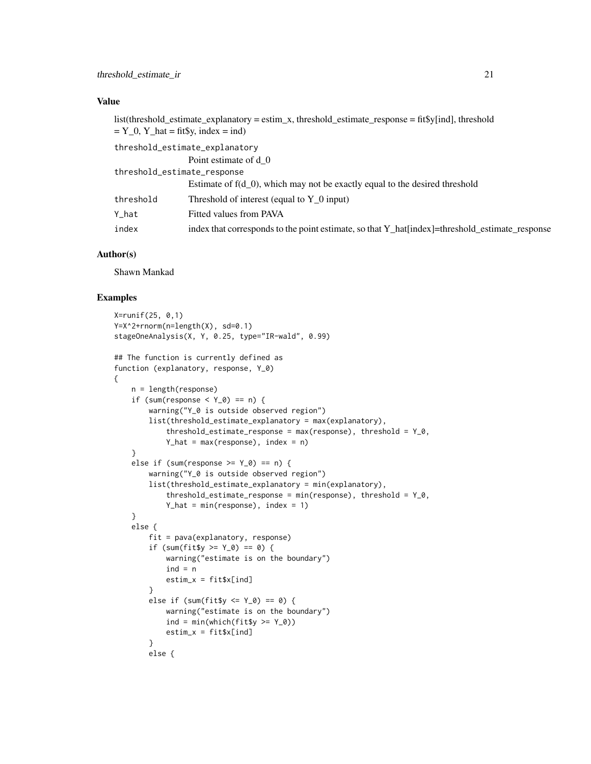## Value

list(threshold estimate explanatory = estim x, threshold estimate response = fit\$y[ind], threshold  $=$  Y\_0, Y\_hat = fit\$y, index = ind)

threshold\_estimate\_explanatory

Point estimate of d\_0

| threshold_estimate_response |                                                                                                |
|-----------------------------|------------------------------------------------------------------------------------------------|
|                             | Estimate of $f(d_0)$ , which may not be exactly equal to the desired threshold                 |
| threshold                   | Threshold of interest (equal to $Y$ 0 input)                                                   |
| Y hat                       | Fitted values from PAVA                                                                        |
| index                       | index that corresponds to the point estimate, so that Y_hat[index]=threshold_estimate_response |

#### Author(s)

Shawn Mankad

#### Examples

{

```
X=runif(25, 0,1)
Y=X^2+rnorm(n=length(X), sd=0.1)
stageOneAnalysis(X, Y, 0.25, type="IR-wald", 0.99)
## The function is currently defined as
function (explanatory, response, Y_0)
   n = length(response)
   if (sum(response \leq Y_0) == n) {
       warning("Y_0 is outside observed region")
       list(threshold_estimate_explanatory = max(explanatory),
           threshold_estimate_response = max(response), threshold = Y_0,
           Y_hat = max(res్), index = n}
    else if (sum(response >= Y_0) == n) {
       warning("Y_0 is outside observed region")
       list(threshold_estimate_explanatory = min(explanatory),
           threshold_estimate_response = min(response), threshold = Y_0,
           Y_hat = min(response), index = 1}
    else {
       fit = pava(explanatory, response)
       if (sum(fit$y >= Y_0) == 0) {
           warning("estimate is on the boundary")
           ind = nestim_x = fit $x[ind]}
       else if (sum(fit$y <= Y_0) == 0) {
           warning("estimate is on the boundary")
           ind = min(which(fitsy >= Y_0))estim_x = fit$x[ind]
       }
       else {
```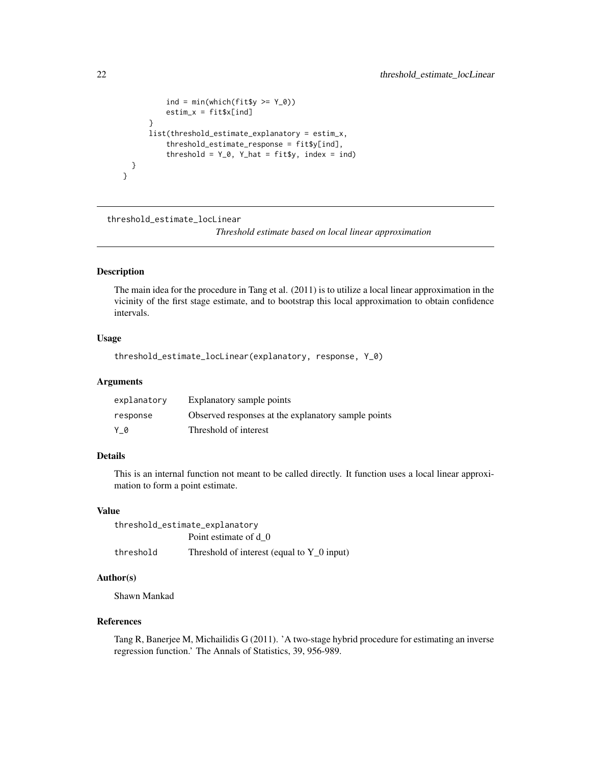```
ind = min(which(fitsy >= Y_0))estim_x = fit$x[ind]
      }
      list(threshold_estimate_explanatory = estim_x,
          threshold_estimate_response = fit$y[ind],
          threshold = Y_0, Y_0 hat = fit$y, index = ind)
  }
}
```
threshold\_estimate\_locLinear

*Threshold estimate based on local linear approximation*

## Description

The main idea for the procedure in Tang et al. (2011) is to utilize a local linear approximation in the vicinity of the first stage estimate, and to bootstrap this local approximation to obtain confidence intervals.

### Usage

threshold\_estimate\_locLinear(explanatory, response, Y\_0)

## Arguments

| explanatory | Explanatory sample points                           |
|-------------|-----------------------------------------------------|
| response    | Observed responses at the explanatory sample points |
| Y 0         | Threshold of interest                               |

## Details

This is an internal function not meant to be called directly. It function uses a local linear approximation to form a point estimate.

## Value

| threshold_estimate_explanatory |                                              |
|--------------------------------|----------------------------------------------|
|                                | Point estimate of d 0                        |
| threshold                      | Threshold of interest (equal to $Y$ 0 input) |

## Author(s)

Shawn Mankad

## References

Tang R, Banerjee M, Michailidis G (2011). 'A two-stage hybrid procedure for estimating an inverse regression function.' The Annals of Statistics, 39, 956-989.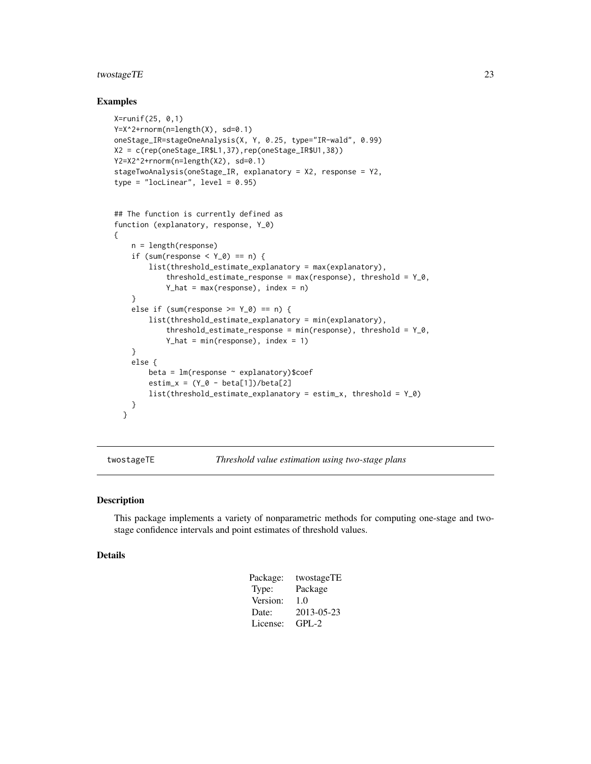## <span id="page-22-0"></span>twostageTE 23

#### Examples

```
X=runif(25, 0,1)
Y=X^2+rnorm(n=length(X), sd=0.1)
oneStage_IR=stageOneAnalysis(X, Y, 0.25, type="IR-wald", 0.99)
X2 = c(rep(oneStage_IR$L1,37),rep(oneStage_IR$U1,38))
Y2=X2^2+rnorm(n=length(X2), sd=0.1)
stageTwoAnalysis(oneStage_IR, explanatory = X2, response = Y2,
type = "locLinear", level = 0.95)
## The function is currently defined as
function (explanatory, response, Y_0)
{
   n = length(response)
    if (sum(response < Y_0) == n) {
        list(threshold_estimate_explanatory = max(explanatory),
            threshold_estimate_response = max(response), threshold = Y_0,
            Y_hat = max(res్), index = n}
    else if (sum(response >= Y_0) == n) {
        list(threshold_estimate_explanatory = min(explanatory),
            threshold_estimate_response = min(response), threshold = Y_0,
            Y_hat = min(res్), index = 1}
    else {
        beta = lm(response ~ explanatory)$coef
        estim_x = (Y_0 - beta[1])/beta[2]list(threshold_estimate_explanatory = estim_x, threshold = Y_0)
   }
  }
```
twostageTE *Threshold value estimation using two-stage plans*

#### Description

This package implements a variety of nonparametric methods for computing one-stage and twostage confidence intervals and point estimates of threshold values.

#### Details

| Package: | twostageTE |
|----------|------------|
| Type:    | Package    |
| Version: | 1.0        |
| Date:    | 2013-05-23 |
| License: | GPL-2      |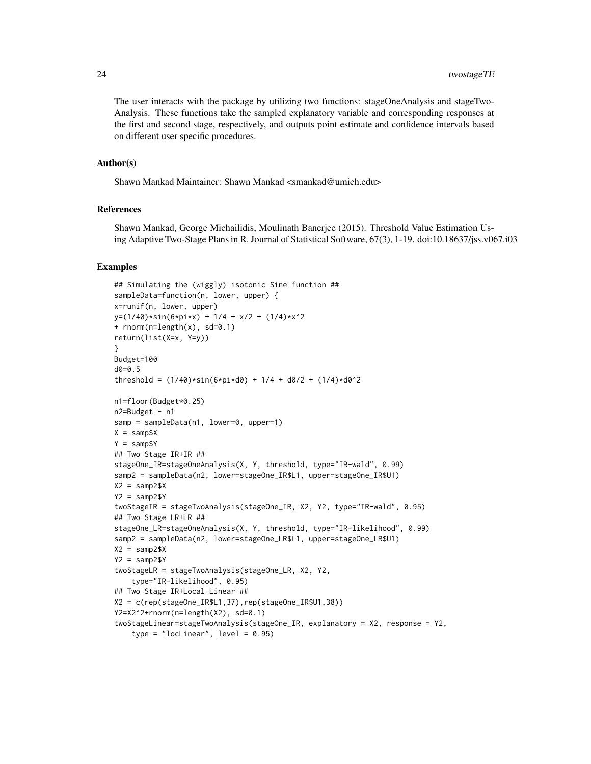The user interacts with the package by utilizing two functions: stageOneAnalysis and stageTwo-Analysis. These functions take the sampled explanatory variable and corresponding responses at the first and second stage, respectively, and outputs point estimate and confidence intervals based on different user specific procedures.

#### Author(s)

Shawn Mankad Maintainer: Shawn Mankad <smankad@umich.edu>

#### **References**

Shawn Mankad, George Michailidis, Moulinath Banerjee (2015). Threshold Value Estimation Using Adaptive Two-Stage Plans in R. Journal of Statistical Software, 67(3), 1-19. doi:10.18637/jss.v067.i03

```
## Simulating the (wiggly) isotonic Sine function ##
sampleData=function(n, lower, upper) {
x=runif(n, lower, upper)
y=(1/40)*sin(6*pi*x) + 1/4 + x/2 + (1/4)*x^2+ rnorm(n=length(x), sd=0.1)
return(list(X=x, Y=y))
}
Budget=100
d0=0.5
threshold = (1/40)*sin(6*pi*d0) + 1/4 + d0/2 + (1/4)*d0^2n1=floor(Budget*0.25)
n2=Budget - n1
samp = sampleData(n1, lower=0, upper=1)
X = \text{samples}Y = \text{samp$Y}## Two Stage IR+IR ##
stageOne_IR=stageOneAnalysis(X, Y, threshold, type="IR-wald", 0.99)
samp2 = sampleData(n2, lower=stageOne_IR$L1, upper=stageOne_IR$U1)
X2 =samp2$X
Y2 = \text{samp2$Y}twoStageIR = stageTwoAnalysis(stageOne_IR, X2, Y2, type="IR-wald", 0.95)
## Two Stage LR+LR ##
stageOne_LR=stageOneAnalysis(X, Y, threshold, type="IR-likelihood", 0.99)
samp2 = sampleData(n2, lower=stageOne_LR$L1, upper=stageOne_LR$U1)
X2 = \text{sample2$}XYZ = \text{ samp2$Y}twoStageLR = stageTwoAnalysis(stageOne_LR, X2, Y2,
    type="IR-likelihood", 0.95)
## Two Stage IR+Local Linear ##
X2 = c(rep(stageOne_IR$L1,37),rep(stageOne_IR$U1,38))
Y2=X2^2+rnorm(n=length(X2), sd=0.1)
twoStageLinear=stageTwoAnalysis(stageOne_IR, explanatory = X2, response = Y2,
    type = "loclinear", level = 0.95)
```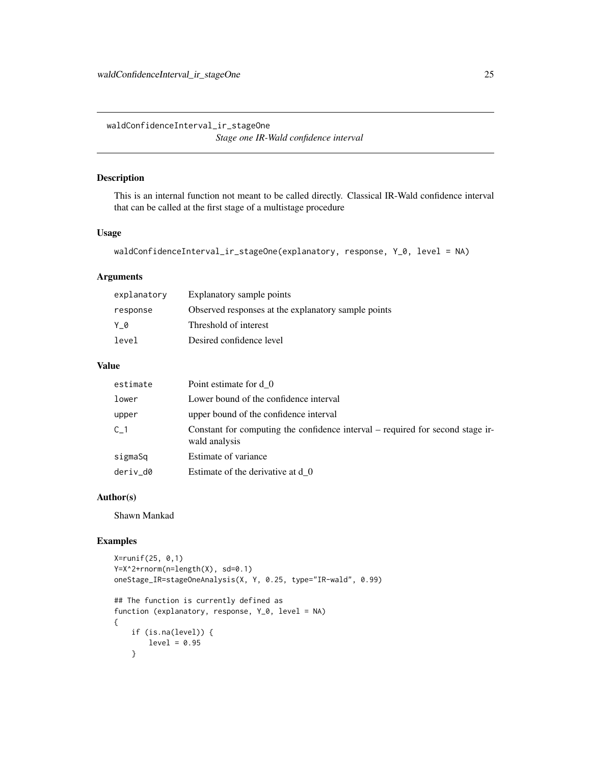<span id="page-24-0"></span>waldConfidenceInterval\_ir\_stageOne *Stage one IR-Wald confidence interval*

## Description

This is an internal function not meant to be called directly. Classical IR-Wald confidence interval that can be called at the first stage of a multistage procedure

## Usage

```
waldConfidenceInterval_ir_stageOne(explanatory, response, Y_0, level = NA)
```
## Arguments

| explanatory | Explanatory sample points                           |
|-------------|-----------------------------------------------------|
| response    | Observed responses at the explanatory sample points |
| Y 0         | Threshold of interest                               |
| level       | Desired confidence level                            |

## Value

| estimate | Point estimate for d 0                                                                          |
|----------|-------------------------------------------------------------------------------------------------|
| lower    | Lower bound of the confidence interval                                                          |
| upper    | upper bound of the confidence interval                                                          |
| C 1      | Constant for computing the confidence interval – required for second stage ir-<br>wald analysis |
| sigmaSq  | Estimate of variance                                                                            |
| deriv_d0 | Estimate of the derivative at d 0                                                               |

## Author(s)

Shawn Mankad

```
X=runif(25, 0,1)
Y=X^2+rnorm(n=length(X), sd=0.1)
oneStage_IR=stageOneAnalysis(X, Y, 0.25, type="IR-wald", 0.99)
## The function is currently defined as
function (explanatory, response, Y_0, level = NA)
{
   if (is.na(level)) {
       level = 0.95}
```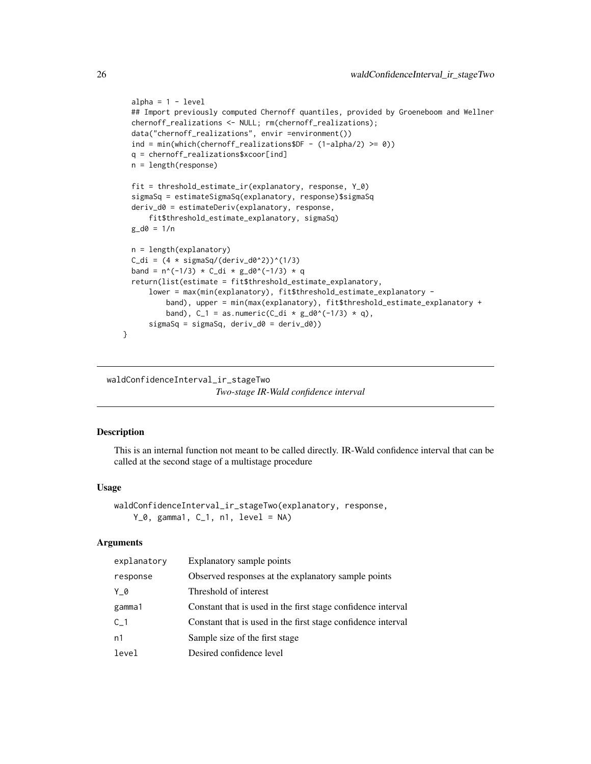```
alpha = 1 - level## Import previously computed Chernoff quantiles, provided by Groeneboom and Wellner
chernoff_realizations <- NULL; rm(chernoff_realizations);
data("chernoff_realizations", envir =environment())
ind = min(which(chernoff_realizations$DF - (1-\alpha 1)ha/2) >= 0))
q = chernoff_realizations$xcoor[ind]
n = length(response)
fit = threshold_estimate_ir(explanatory, response, Y_0)
sigmaSq = estimateSigmaSq(explanatory, response)$sigmaSq
deriv_d0 = estimateDeriv(explanatory, response,
    fit$threshold_estimate_explanatory, sigmaSq)
g_d0 = 1/nn = length(explanatory)
C_di = (4 * sigmaSq/(deriv_d0^2))^(1/3)
band = n^(-1/3) * C_d i * g_d0^(-1/3) * qreturn(list(estimate = fit$threshold_estimate_explanatory,
    lower = max(min(explanatory), fit$threshold_estimate_explanatory -
        band), upper = min(max(explanatory), fit$threshold_estimate_explanatory +
        band), C_1 = as.numeric(C_d i * g_d0^(-1/3) * q),
    sigmaSq = sigmaSq, deriv_d0 = deriv_d0))
```
waldConfidenceInterval\_ir\_stageTwo *Two-stage IR-Wald confidence interval*

#### **Description**

}

This is an internal function not meant to be called directly. IR-Wald confidence interval that can be called at the second stage of a multistage procedure

#### Usage

```
waldConfidenceInterval_ir_stageTwo(explanatory, response,
    Y_0, gamma1, C<sub>1</sub>, n1, level = NA)
```
#### Arguments

| explanatory    | Explanatory sample points                                    |
|----------------|--------------------------------------------------------------|
| response       | Observed responses at the explanatory sample points          |
| Y 0            | Threshold of interest                                        |
| gamma1         | Constant that is used in the first stage confidence interval |
| C <sub>1</sub> | Constant that is used in the first stage confidence interval |
| n1             | Sample size of the first stage                               |
| level          | Desired confidence level                                     |

<span id="page-25-0"></span>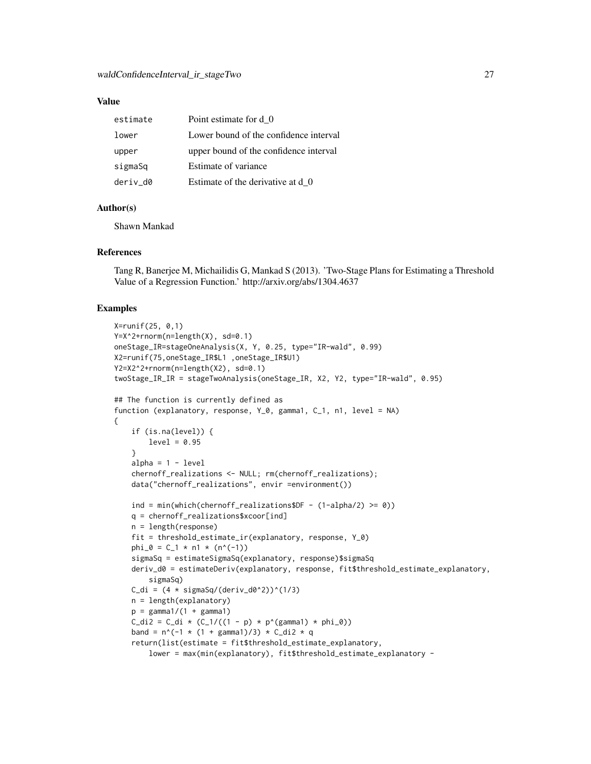#### Value

| estimate | Point estimate for d_0                 |
|----------|----------------------------------------|
| lower    | Lower bound of the confidence interval |
| upper    | upper bound of the confidence interval |
| sigmaSq  | Estimate of variance                   |
| deriv d0 | Estimate of the derivative at d 0      |

## Author(s)

Shawn Mankad

#### References

Tang R, Banerjee M, Michailidis G, Mankad S (2013). 'Two-Stage Plans for Estimating a Threshold Value of a Regression Function.' http://arxiv.org/abs/1304.4637

#### Examples

{

```
X=runif(25, 0,1)
Y=X^2+rnorm(n=length(X), sd=0.1)
oneStage_IR=stageOneAnalysis(X, Y, 0.25, type="IR-wald", 0.99)
X2=runif(75,oneStage_IR$L1 ,oneStage_IR$U1)
Y2=X2^2+rnorm(n=length(X2), sd=0.1)
twoStage_IR_IR = stageTwoAnalysis(oneStage_IR, X2, Y2, type="IR-wald", 0.95)
## The function is currently defined as
function (explanatory, response, Y_0, gamma1, C_1, n1, level = NA)
    if (is.na(level)) {
        level = 0.95}
    alpha = 1 - levelchernoff_realizations <- NULL; rm(chernoff_realizations);
    data("chernoff_realizations", envir =environment())
    ind = min(which(chernoff_realizations$DF - (1-\alpha/2) >= 0))
    q = chernoff_realizations$xcoor[ind]
    n = length(response)
    fit = threshold_estimate_ir(explanatory, response, Y_0)
    phi_0 = C_1 * n1 * (n^(-1))
    sigmaSq = estimateSigmaSq(explanatory, response)$sigmaSq
    deriv_d0 = estimateDeriv(explanatory, response, fit$threshold_estimate_explanatory,
        sigmaSq)
    C_di = (4 * sigmaSq/(deriv_d0^2))^(1/3)
    n = length(explanatory)
    p = \text{gamma1}/(1 + \text{gamma1})C_di2 = C_di * (C_1/((1 - p) * p'(gamma)) * phi_0)band = n^(-1 \times (1 + \text{gamma}))/3) \times C_di2 * q
    return(list(estimate = fit$threshold_estimate_explanatory,
        lower = max(min(explanatory), fit$threshold_estimate_explanatory -
```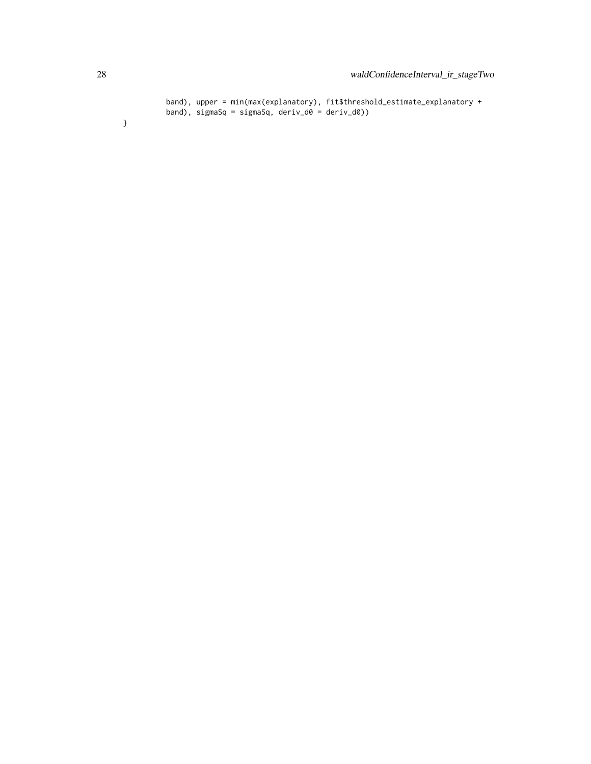```
band), upper = min(max(explanatory), fit$threshold_estimate_explanatory +
band), sigmaSq = sigmaSq, deriv_d0 = deriv_d0))
```
}